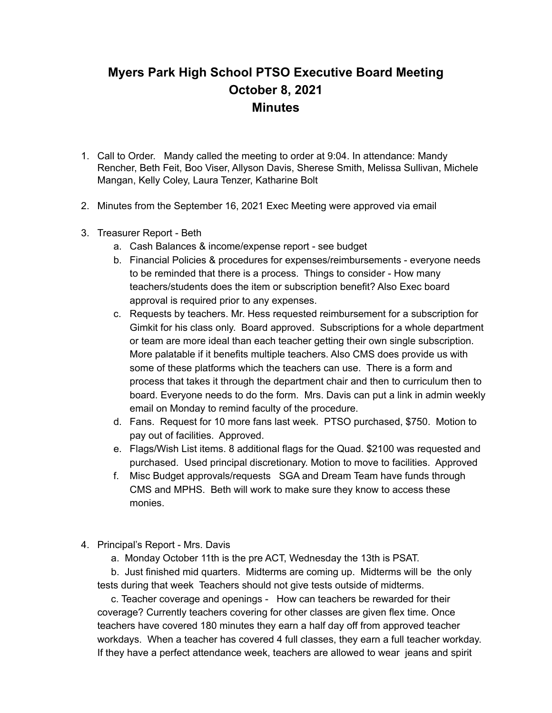## **Myers Park High School PTSO Executive Board Meeting October 8, 2021 Minutes**

- 1. Call to Order. Mandy called the meeting to order at 9:04. In attendance: Mandy Rencher, Beth Feit, Boo Viser, Allyson Davis, Sherese Smith, Melissa Sullivan, Michele Mangan, Kelly Coley, Laura Tenzer, Katharine Bolt
- 2. Minutes from the September 16, 2021 Exec Meeting were approved via email
- 3. Treasurer Report Beth
	- a. Cash Balances & income/expense report see budget
	- b. Financial Policies & procedures for expenses/reimbursements everyone needs to be reminded that there is a process. Things to consider - How many teachers/students does the item or subscription benefit? Also Exec board approval is required prior to any expenses.
	- c. Requests by teachers. Mr. Hess requested reimbursement for a subscription for Gimkit for his class only. Board approved. Subscriptions for a whole department or team are more ideal than each teacher getting their own single subscription. More palatable if it benefits multiple teachers. Also CMS does provide us with some of these platforms which the teachers can use. There is a form and process that takes it through the department chair and then to curriculum then to board. Everyone needs to do the form. Mrs. Davis can put a link in admin weekly email on Monday to remind faculty of the procedure.
	- d. Fans. Request for 10 more fans last week. PTSO purchased, \$750. Motion to pay out of facilities. Approved.
	- e. Flags/Wish List items. 8 additional flags for the Quad. \$2100 was requested and purchased. Used principal discretionary. Motion to move to facilities. Approved
	- f. Misc Budget approvals/requests SGA and Dream Team have funds through CMS and MPHS. Beth will work to make sure they know to access these monies.
- 4. Principal's Report Mrs. Davis
	- a. Monday October 11th is the pre ACT, Wednesday the 13th is PSAT.

b. Just finished mid quarters. Midterms are coming up. Midterms will be the only tests during that week Teachers should not give tests outside of midterms.

c. Teacher coverage and openings - How can teachers be rewarded for their coverage? Currently teachers covering for other classes are given flex time. Once teachers have covered 180 minutes they earn a half day off from approved teacher workdays. When a teacher has covered 4 full classes, they earn a full teacher workday. If they have a perfect attendance week, teachers are allowed to wear jeans and spirit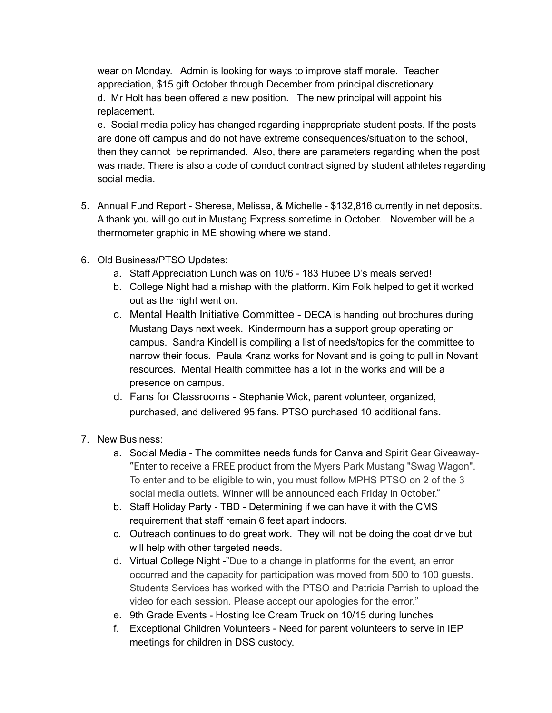wear on Monday. Admin is looking for ways to improve staff morale. Teacher appreciation, \$15 gift October through December from principal discretionary. d. Mr Holt has been offered a new position. The new principal will appoint his replacement.

e. Social media policy has changed regarding inappropriate student posts. If the posts are done off campus and do not have extreme consequences/situation to the school, then they cannot be reprimanded. Also, there are parameters regarding when the post was made. There is also a code of conduct contract signed by student athletes regarding social media.

- 5. Annual Fund Report Sherese, Melissa, & Michelle \$132,816 currently in net deposits. A thank you will go out in Mustang Express sometime in October. November will be a thermometer graphic in ME showing where we stand.
- 6. Old Business/PTSO Updates:
	- a. Staff Appreciation Lunch was on 10/6 183 Hubee D's meals served!
	- b. College Night had a mishap with the platform. Kim Folk helped to get it worked out as the night went on.
	- c. Mental Health Initiative Committee DECA is handing out brochures during Mustang Days next week. Kindermourn has a support group operating on campus. Sandra Kindell is compiling a list of needs/topics for the committee to narrow their focus. Paula Kranz works for Novant and is going to pull in Novant resources. Mental Health committee has a lot in the works and will be a presence on campus.
	- d. Fans for Classrooms Stephanie Wick, parent volunteer, organized, purchased, and delivered 95 fans. PTSO purchased 10 additional fans.
- 7. New Business:
	- a. Social Media The committee needs funds for Canva and Spirit Gear Giveaway**- "**Enter to receive a FREE product from the Myers Park Mustang "Swag Wagon". To enter and to be eligible to win, you must follow MPHS PTSO on 2 of the 3 social media outlets. Winner will be announced each Friday in October."
	- b. Staff Holiday Party TBD Determining if we can have it with the CMS requirement that staff remain 6 feet apart indoors.
	- c. Outreach continues to do great work. They will not be doing the coat drive but will help with other targeted needs.
	- d. Virtual College Night -"Due to a change in platforms for the event, an error occurred and the capacity for participation was moved from 500 to 100 guests. Students Services has worked with the PTSO and Patricia Parrish to upload the video for each session. Please accept our apologies for the error."
	- e. 9th Grade Events Hosting Ice Cream Truck on 10/15 during lunches
	- f. Exceptional Children Volunteers Need for parent volunteers to serve in IEP meetings for children in DSS custody.